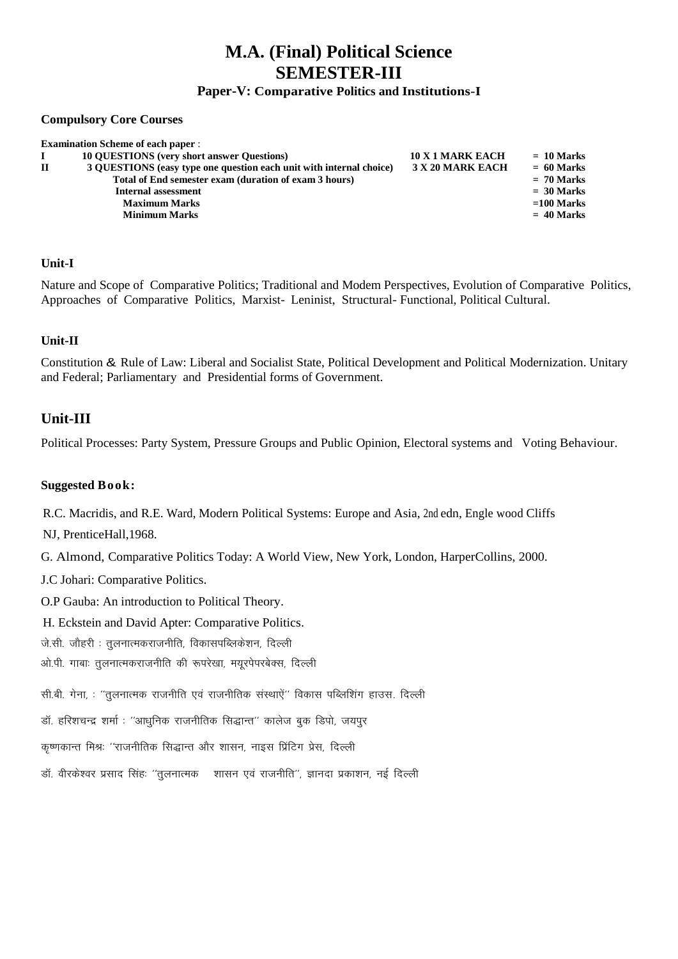## **Paper-V: Comparative Politics and Institutions-I**

#### **Compulsory Core Courses**

|              | <b>Examination Scheme of each paper:</b>                            |                         |              |
|--------------|---------------------------------------------------------------------|-------------------------|--------------|
|              | <b>10 QUESTIONS</b> (very short answer Questions)                   | <b>10 X 1 MARK EACH</b> | $= 10$ Marks |
| $\mathbf{H}$ | 3 OUESTIONS (easy type one question each unit with internal choice) | 3 X 20 MARK EACH        | $= 60$ Marks |
|              | Total of End semester exam (duration of exam 3 hours)               |                         | $= 70$ Marks |
|              | Internal assessment                                                 |                         | $=$ 30 Marks |
|              | <b>Maximum Marks</b>                                                |                         | $=100$ Marks |
|              | <b>Minimum Marks</b>                                                |                         | $= 40$ Marks |
|              |                                                                     |                         |              |

## **Unit-I**

Nature and Scope of Comparative Politics; Traditional and Modem Perspectives, Evolution of Comparative Politics, Approaches of Comparative Politics, Marxist- Leninist, Structural- Functional, Political Cultural.

#### **Unit-II**

Constitution & Rule of Law: Liberal and Socialist State, Political Development and Political Modernization. Unitary and Federal; Parliamentary and Presidential forms of Government.

## **Unit-III**

Political Processes: Party System, Pressure Groups and Public Opinion, Electoral systems and Voting Behaviour.

#### **Suggested Book:**

R.C. Macridis, and R.E. Ward, Modern Political Systems: Europe and Asia, 2nd edn, Engle wood Cliffs

NJ, PrenticeHall,1968.

G. Almond, Comparative Politics Today: A World View, New York, London, HarperCollins, 2000.

J.C Johari: Comparative Politics.

O.P Gauba: An introduction to Political Theory.

H. Eckstein and David Apter: Comparative Politics.

जे.सी. जौहरी : तूलनात्मकराजनीति, विकासपब्लिकेशन, दिल्ली

ओ.पी. गाबाः तूलनात्मकराजनीति की रूपरेखा, मयूरपेपरबेक्स, दिल्ली

सी.बी. गेना, : ''तुलनात्मक राजनीति एवं राजनीतिक संस्थाऐं'' विकास पब्लिशिंग हाउस. दिल्ली

डॉ. हरिशचन्द्र शर्मा : ''आधुनिक राजनीतिक सिद्धान्त'' कालेज बुक डिपो, जयपुर

कृष्णकान्त मिश्रः ''राजनीतिक सिद्धान्त और शासन, नाइस प्रिंटिग प्रेस, दिल्ली

डॉ. वीरकेश्वर प्रसाद सिंहः ''तूलनात्मक शासन एवं राजनीति'', ज्ञानदा प्रकाशन, नई दिल्ली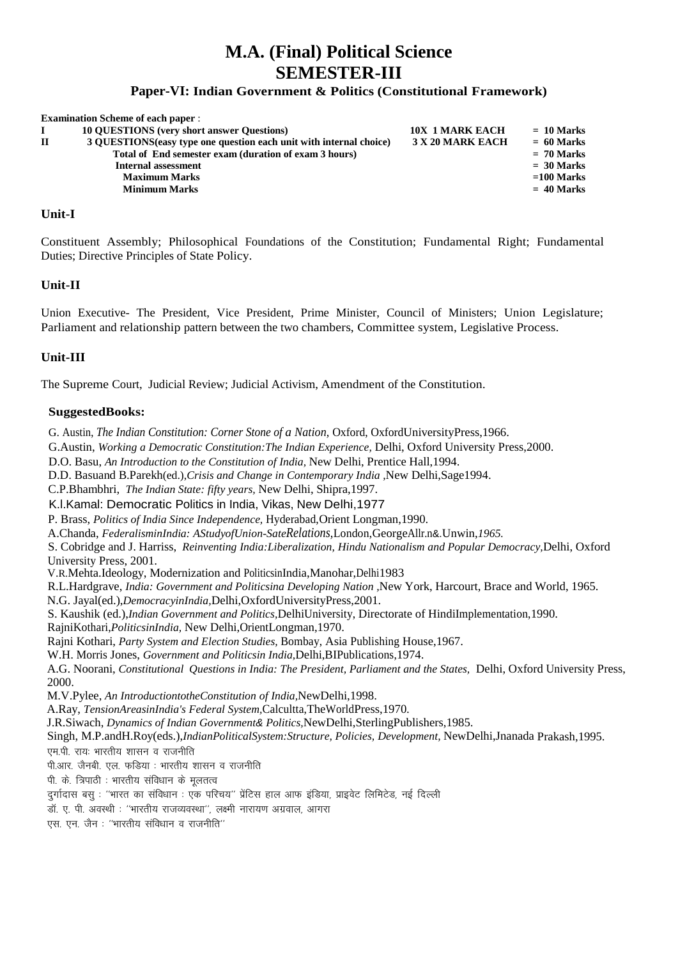## **Paper-VI: Indian Government & Politics (Constitutional Framework)**

|   | <b>Examination Scheme of each paper:</b>                            |                        |              |
|---|---------------------------------------------------------------------|------------------------|--------------|
|   | <b>10 OUESTIONS</b> (very short answer Questions)                   | <b>10X 1 MARK EACH</b> | $= 10$ Marks |
| П | 3 QUESTIONS (easy type one question each unit with internal choice) | 3 X 20 MARK EACH       | $= 60$ Marks |
|   | Total of End semester exam (duration of exam 3 hours)               |                        | $= 70$ Marks |
|   | <b>Internal assessment</b>                                          |                        | $= 30$ Marks |
|   | <b>Maximum Marks</b>                                                |                        | $=100$ Marks |
|   | <b>Minimum Marks</b>                                                |                        | $= 40$ Marks |
|   |                                                                     |                        |              |

#### **Unit-I**

Constituent Assembly; Philosophical Foundations of the Constitution; Fundamental Right; Fundamental Duties; Directive Principles of State Policy.

#### **Unit-II**

Union Executive- The President, Vice President, Prime Minister, Council of Ministers; Union Legislature; Parliament and relationship pattern between the two chambers, Committee system, Legislative Process.

#### **Unit-III**

The Supreme Court, Judicial Review; Judicial Activism, Amendment of the Constitution.

#### **SuggestedBooks:**

G. Austin, *The Indian Constitution: Corner Stone of a Nation,* Oxford, OxfordUniversityPress,1966.

G.Austin, *Working a Democratic Constitution:The Indian Experience,* Delhi, Oxford University Press,2000.

D.O. Basu, *An Introduction to the Constitution of India,* New Delhi, Prentice Hall,1994.

D.D. Basuand B.Parekh(ed.),*Crisis and Change in Contemporary India ,*New Delhi,Sage1994.

C.P.Bhambhri, *The Indian State: fifty years,* New Delhi, Shipra,1997.

K.l.Kamal: Democratic Politics in India, Vikas, New Delhi,1977

P. Brass, *Politics of India Since Independence,* Hyderabad,Orient Longman,1990.

A.Chanda, *FederalisminIndia: AStudyofUnion-SateRelations,*London,GeorgeAllr.n&.Unwin,*1965.*

S. Cobridge and J. Harriss, *Reinventing India:Liberalization, Hindu Nationalism and Popular Democracy,*Delhi, Oxford University Press, 2001.

V.R.Mehta.Ideology, Modernization and PoliticsinIndia,Manohar,Delhi1983

R.L.Hardgrave, *India: Government and Politicsina Developing Nation ,*New York, Harcourt, Brace and World, 1965.

N.G. Jayal(ed.),*DemocracyinIndia,*Delhi,OxfordUniversityPress,2001.

S. Kaushik (ed.),*Indian Government and Politics,*DelhiUniversity, Directorate of HindiImplementation,1990.

RajniKothari,*PoliticsinIndia,* New Delhi,OrientLongman,1970.

Rajni Kothari, *Party System and Election Studies,* Bombay, Asia Publishing House,1967.

W.H. Morris Jones, *Government and Politicsin India,*Delhi,BIPublications,1974.

A.G. Noorani, *Constitutional Questions in India: The President, Parliament and the States,* Delhi, Oxford University Press, 2000.

M.V.Pylee, *An IntroductiontotheConstitution of India,*NewDelhi,1998.

A.Ray, *TensionAreasinIndia's Federal System,*Calcultta,TheWorldPress,1970.

J.R.Siwach, *Dynamics of Indian Government& Politics,*NewDelhi,SterlingPublishers,1985.

Singh, M.P.andH.Roy(eds.),*IndianPoliticalSystem:Structure, Policies, Development,* NewDelhi,Jnanada Prakash,1995. एम.पी. रायः भारतीय शासन व राजनीति

पी.आर. जैनबी. एल. फडिया : भारतीय शासन व राजनीति

पी के त्रिपाठी : भारतीय संविधान के मलतत्व

दुर्गादास बसु : ''भारत का संविधान : एक परिचय'' प्रेंटिस हाल आफ इंडिया, प्राइवेट लिमिटेड, नई दिल्ली

डॉ. ए. पी. अवस्थी : ''भारतीय राजव्यवस्था'', लक्ष्मी नारायण अग्रवाल, आगरा

एस. एन. जैन: "भारतीय संविधान व राजनीति"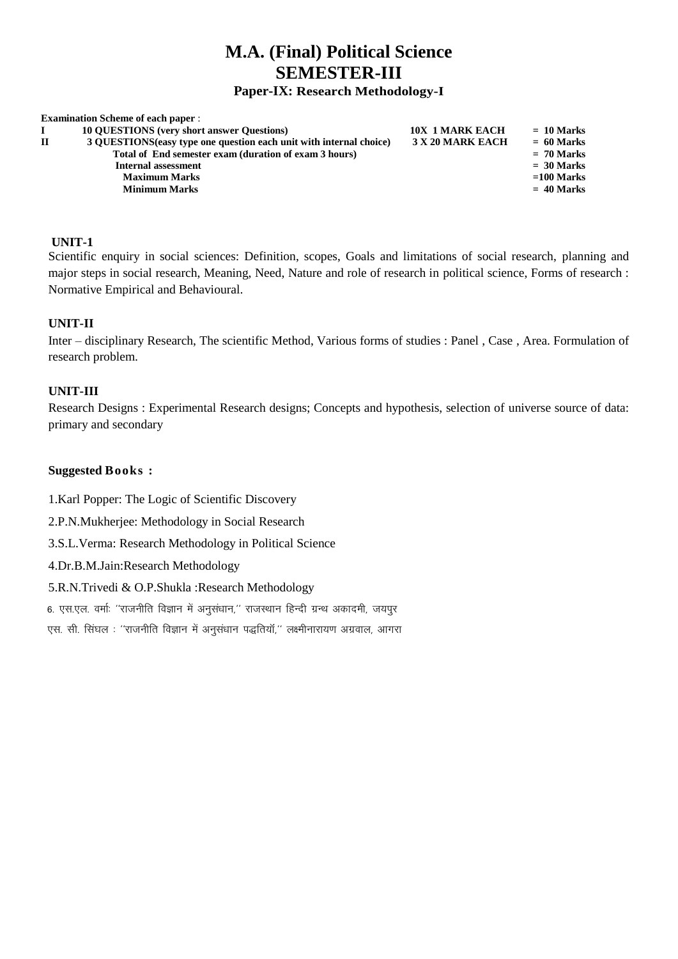## **Paper-IX: Research Methodology-I**

|              | <b>Examination Scheme of each paper:</b>                            |                        |              |
|--------------|---------------------------------------------------------------------|------------------------|--------------|
|              | <b>10 OUESTIONS</b> (very short answer Ouestions)                   | <b>10X 1 MARK EACH</b> | $= 10$ Marks |
| $\mathbf{H}$ | 3 QUESTIONS (easy type one question each unit with internal choice) | 3 X 20 MARK EACH       | $= 60$ Marks |
|              | Total of End semester exam (duration of exam 3 hours)               |                        | $= 70$ Marks |
|              | <b>Internal assessment</b>                                          |                        | $= 30$ Marks |
|              | <b>Maximum Marks</b>                                                |                        | $=100$ Marks |
|              | <b>Minimum Marks</b>                                                |                        | $= 40$ Marks |
|              |                                                                     |                        |              |

## **UNIT-1**

Scientific enquiry in social sciences: Definition, scopes, Goals and limitations of social research, planning and major steps in social research, Meaning, Need, Nature and role of research in political science, Forms of research : Normative Empirical and Behavioural.

## **UNIT-II**

Inter – disciplinary Research, The scientific Method, Various forms of studies : Panel , Case , Area. Formulation of research problem.

#### **UNIT-III**

Research Designs : Experimental Research designs; Concepts and hypothesis, selection of universe source of data: primary and secondary

### **Suggested Books :**

1.Karl Popper: The Logic of Scientific Discovery

2.P.N.Mukherjee: Methodology in Social Research

3.S.L.Verma: Research Methodology in Political Science

4.Dr.B.M.Jain:Research Methodology

#### 5.R.N.Trivedi & O.P.Shukla :Research Methodology

6. एस.एल. वर्माः ''राजनीति विज्ञान में अनुसंधान,'' राजस्थान हिन्दी ग्रन्थ अकादमी, जयपुर

एस. सी. सिंघल : ''राजनीति विज्ञान में अनुसंधान पद्धतियॉं,'' लक्ष्मीनारायण अग्रवाल, आगरा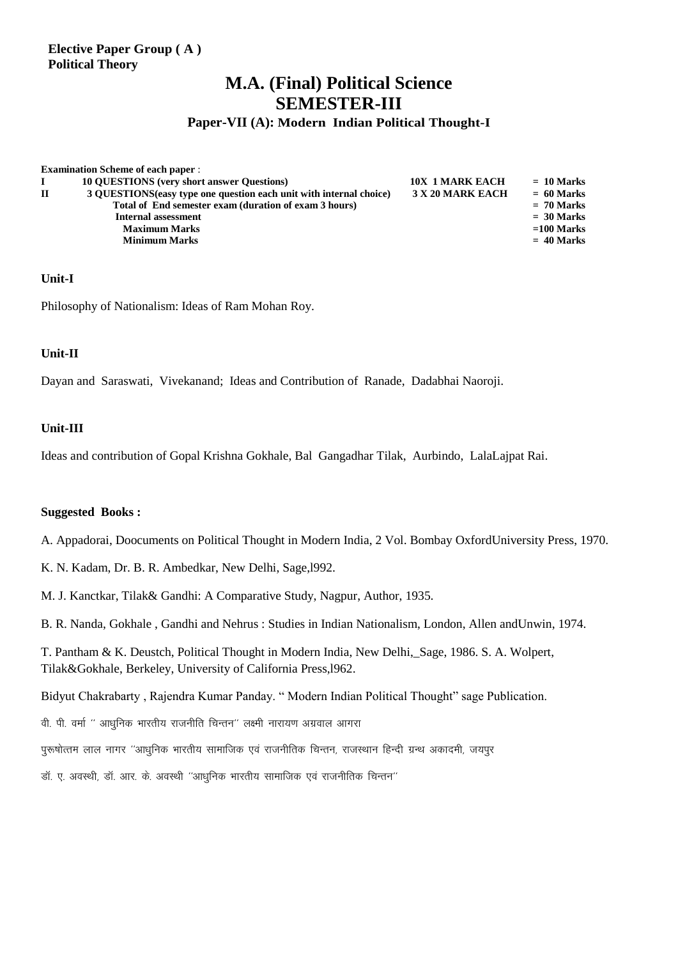## **Paper-VII (A): Modern Indian Political Thought-I**

|       | <b>Examination Scheme of each paper:</b>                            |                        |              |
|-------|---------------------------------------------------------------------|------------------------|--------------|
|       | <b>10 QUESTIONS</b> (very short answer Questions)                   | <b>10X 1 MARK EACH</b> | $= 10$ Marks |
| $\Pi$ | 3 OUESTIONS (easy type one question each unit with internal choice) | 3 X 20 MARK EACH       | $= 60$ Marks |
|       | Total of End semester exam (duration of exam 3 hours)               |                        | $= 70$ Marks |
|       | <b>Internal assessment</b>                                          |                        | $= 30$ Marks |
|       | <b>Maximum Marks</b>                                                |                        | $=100$ Marks |
|       | <b>Minimum Marks</b>                                                |                        | $= 40$ Marks |

## **Unit-I**

Philosophy of Nationalism: Ideas of Ram Mohan Roy.

## **Unit-II**

Dayan and Saraswati, Vivekanand; Ideas and Contribution of Ranade, Dadabhai Naoroji.

#### **Unit-III**

Ideas and contribution of Gopal Krishna Gokhale, Bal Gangadhar Tilak, Aurbindo, LalaLajpat Rai.

#### **Suggested Books :**

A. Appadorai, Doocuments on Political Thought in Modern India, 2 Vol. Bombay OxfordUniversity Press, 1970.

- K. N. Kadam, Dr. B. R. Ambedkar, New Delhi, Sage,l992.
- M. J. Kanctkar, Tilak& Gandhi: A Comparative Study, Nagpur, Author, 1935.
- B. R. Nanda, Gokhale , Gandhi and Nehrus : Studies in Indian Nationalism, London, Allen andUnwin, 1974.
- T. Pantham & K. Deustch, Political Thought in Modern India, New Delhi, Sage, 1986. S. A. Wolpert, Tilak&Gokhale, Berkeley, University of California Press,l962.

Bidyut Chakrabarty , Rajendra Kumar Panday. " Modern Indian Political Thought" sage Publication.

वी. पी. वर्मा " आधुनिक भारतीय राजनीति चिन्तन" लक्ष्मी नारायण अग्रवाल आगरा

पुरूषोत्तम लाल नागर ''आधुनिक भारतीय सामाजिक एवं राजनीतिक चिन्तन, राजस्थान हिन्दी ग्रन्थ अकादमी, जयपुर

डॉ. ए. अवस्थी, डॉ. आर. के. अवस्थी "आधुनिक भारतीय सामाजिक एवं राजनीतिक चिन्तन"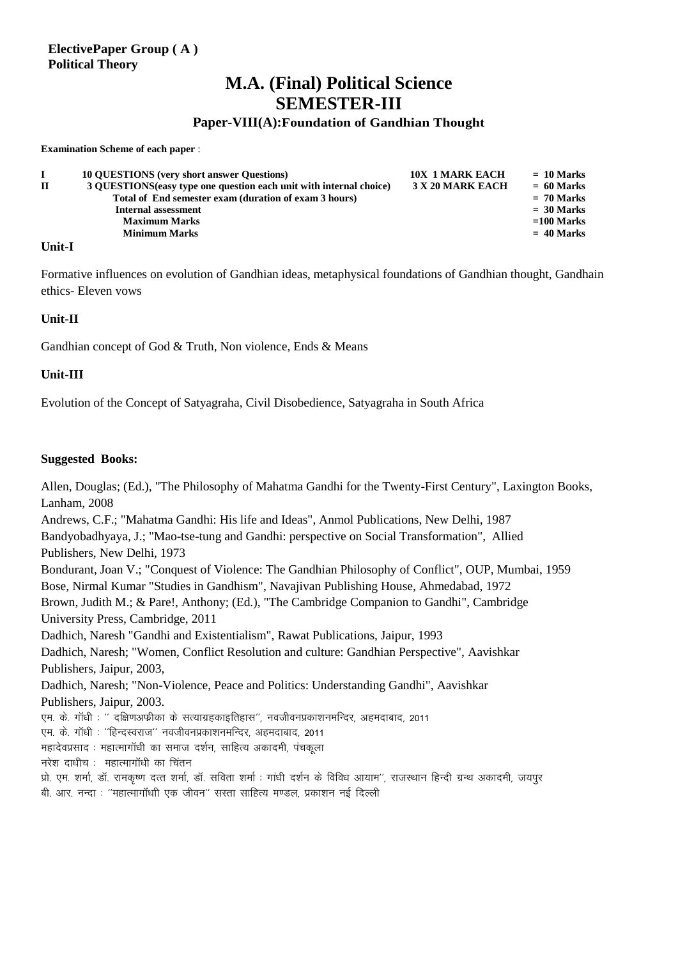## **Paper-VIII(A):Foundation of Gandhian Thought**

**Examination Scheme of each paper** :

|              | 10 OUESTIONS (very short answer Questions)                          | <b>10X 1 MARK EACH</b> | $= 10$ Marks |
|--------------|---------------------------------------------------------------------|------------------------|--------------|
| $\mathbf{I}$ | 3 OUESTIONS (easy type one question each unit with internal choice) | 3 X 20 MARK EACH       | $= 60$ Marks |
|              | Total of End semester exam (duration of exam 3 hours)               |                        | $= 70$ Marks |
|              | Internal assessment                                                 |                        | $=$ 30 Marks |
|              | <b>Maximum Marks</b>                                                |                        | $=100$ Marks |
|              | <b>Minimum Marks</b>                                                |                        | $= 40$ Marks |
| $T124$ T     |                                                                     |                        |              |

#### **Unit-I**

Formative influences on evolution of Gandhian ideas, metaphysical foundations of Gandhian thought, Gandhain ethics- Eleven vows

## **Unit-II**

Gandhian concept of God & Truth, Non violence, Ends & Means

## **Unit-III**

Evolution of the Concept of Satyagraha, Civil Disobedience, Satyagraha in South Africa

#### **Suggested Books:**

Allen, Douglas; (Ed.), "The Philosophy of Mahatma Gandhi for the Twenty-First Century", Laxington Books, Lanham, 2008 Andrews, C.F.; "Mahatma Gandhi: His life and Ideas", Anmol Publications, New Delhi, 1987 Bandyobadhyaya, J.; "Mao-tse-tung and Gandhi: perspective on Social Transformation", Allied Publishers, New Delhi, 1973 Bondurant, Joan V.; "Conquest of Violence: The Gandhian Philosophy of Conflict", OUP, Mumbai, 1959 Bose, Nirmal Kumar "Studies in Gandhism", Navajivan Publishing House, Ahmedabad, 1972 Brown, Judith M.; & Pare!, Anthony; (Ed.), "The Cambridge Companion to Gandhi", Cambridge University Press, Cambridge, 2011 Dadhich, Naresh "Gandhi and Existentialism", Rawat Publications, Jaipur, 1993 Dadhich, Naresh; "Women, Conflict Resolution and culture: Gandhian Perspective", Aavishkar Publishers, Jaipur, 2003, Dadhich, Naresh; "Non-Violence, Peace and Politics: Understanding Gandhi", Aavishkar Publishers, Jaipur, 2003. एम. के. गॉधी : '' दक्षिणअफ्रीका के सत्याग्रहकाइतिहास''. नवजीवनप्रकाशनमन्दिर. अहमदाबाद. 2011 एम के गाँधी : ''हिन्दस्वराज'' नवजीवनप्रकाशनमन्दिर अहमदाबाद 2011 महादेवप्रसाद : महात्मागाँधी का समाज दर्शन, साहित्य अकादमी, पंचकुला नरेश दाधीच $:$  महात्मागाँधी का चिंतन प्रो. एम. शर्मा, डॉ. रामकृष्ण दत्त शर्मा, डॉ. सविता शर्मा : गांधी दर्शन के विविध आयाम'', राजस्थान हिन्दी ग्रन्थ अकादमी, जयपुर बी. आर. नन्दा : ''महात्मागाँधाी एक जीवन'' सस्ता साहित्य मण्डल, प्रकाशन नई दिल्ली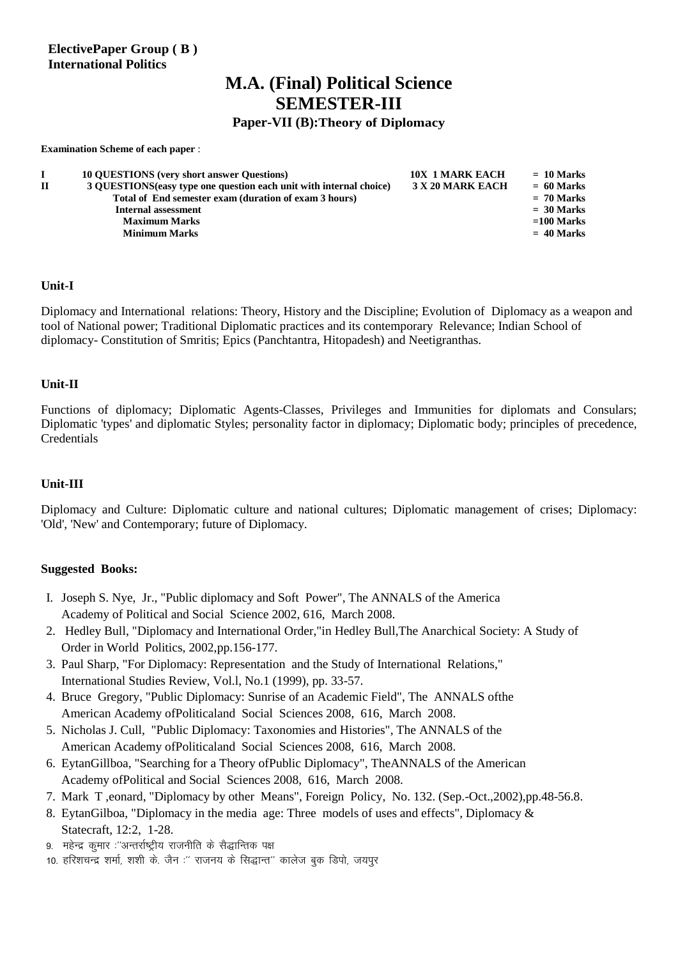## **Paper-VII (B):Theory of Diplomacy**

**Examination Scheme of each paper** :

|       | <b>10 OUESTIONS</b> (very short answer Questions)                   | <b>10X 1 MARK EACH</b> | $= 10$ Marks |
|-------|---------------------------------------------------------------------|------------------------|--------------|
| $\Pi$ | 3 OUESTIONS (easy type one question each unit with internal choice) | 3 X 20 MARK EACH       | $= 60$ Marks |
|       | Total of End semester exam (duration of exam 3 hours)               |                        | $= 70$ Marks |
|       | Internal assessment                                                 |                        | $= 30$ Marks |
|       | <b>Maximum Marks</b>                                                |                        | $=100$ Marks |
|       | <b>Minimum Marks</b>                                                |                        | $= 40$ Marks |
|       |                                                                     |                        |              |

#### **Unit-I**

Diplomacy and International relations: Theory, History and the Discipline; Evolution of Diplomacy as a weapon and tool of National power; Traditional Diplomatic practices and its contemporary Relevance; Indian School of diplomacy- Constitution of Smritis; Epics (Panchtantra, Hitopadesh) and Neetigranthas.

#### **Unit-II**

Functions of diplomacy; Diplomatic Agents-Classes, Privileges and Immunities for diplomats and Consulars; Diplomatic 'types' and diplomatic Styles; personality factor in diplomacy; Diplomatic body; principles of precedence, Credentials

#### **Unit-III**

Diplomacy and Culture: Diplomatic culture and national cultures; Diplomatic management of crises; Diplomacy: 'Old', 'New' and Contemporary; future of Diplomacy.

- I. Joseph S. Nye, Jr., "Public diplomacy and Soft Power", The ANNALS of the America Academy of Political and Social Science 2002, 616, March 2008.
- 2. Hedley Bull, "Diplomacy and International Order,"in Hedley Bull,The Anarchical Society: A Study of Order in World Politics, 2002,pp.156-177.
- 3. Paul Sharp, "For Diplomacy: Representation and the Study of International Relations," International Studies Review, Vol.l, No.1 (1999), pp. 33-57.
- 4. Bruce Gregory, "Public Diplomacy: Sunrise of an Academic Field", The ANNALS ofthe American Academy ofPoliticaland Social Sciences 2008, 616, March 2008.
- 5. Nicholas J. Cull, "Public Diplomacy: Taxonomies and Histories", The ANNALS of the American Academy ofPoliticaland Social Sciences 2008, 616, March 2008.
- 6. EytanGillboa, "Searching for a Theory ofPublic Diplomacy", TheANNALS of the American Academy ofPolitical and Social Sciences 2008, 616, March 2008.
- 7. Mark T ,eonard, "Diplomacy by other Means", Foreign Policy, No. 132. (Sep.-Oct.,2002),pp.48-56.8.
- 8. EytanGilboa, "Diplomacy in the media age: Three models of uses and effects", Diplomacy & Statecraft, 12:2, 1-28.
- 9. महेन्द्र कुमार :''अन्तर्राष्ट्रीय राजनीति के सैद्धान्तिक पक्ष
- 10. हरिशचन्द्र शर्मा, शशी के. जैन :'' राजनय के सिद्धान्त'' कालेज बुक डिपो, जयपुर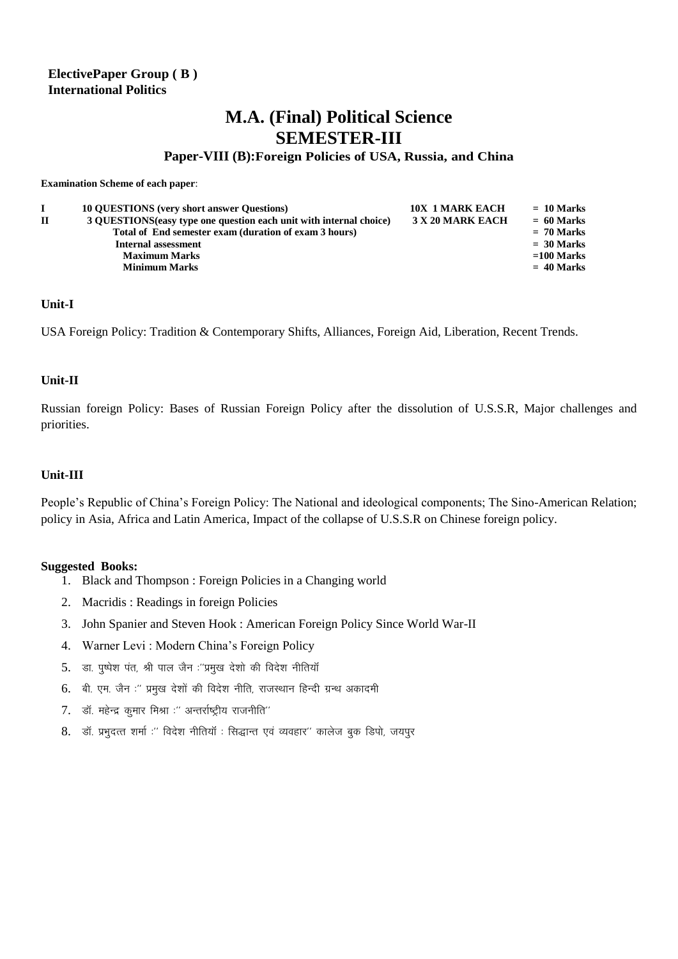## **ElectivePaper Group ( B ) International Politics**

## **M.A. (Final) Political Science SEMESTER-III**

## **Paper-VIII (B):Foreign Policies of USA, Russia, and China**

**Examination Scheme of each paper**:

|              | <b>10 OUESTIONS</b> (very short answer Questions)                   | <b>10X 1 MARK EACH</b> | $= 10$ Marks |
|--------------|---------------------------------------------------------------------|------------------------|--------------|
| $\mathbf{I}$ | 3 QUESTIONS (easy type one question each unit with internal choice) | 3 X 20 MARK EACH       | $= 60$ Marks |
|              | Total of End semester exam (duration of exam 3 hours)               |                        | $= 70$ Marks |
|              | Internal assessment                                                 |                        | $=$ 30 Marks |
|              | <b>Maximum Marks</b>                                                |                        | $=100$ Marks |
|              | <b>Minimum Marks</b>                                                |                        | $= 40$ Marks |
|              |                                                                     |                        |              |

#### **Unit-I**

USA Foreign Policy: Tradition & Contemporary Shifts, Alliances, Foreign Aid, Liberation, Recent Trends.

#### **Unit-II**

Russian foreign Policy: Bases of Russian Foreign Policy after the dissolution of U.S.S.R, Major challenges and priorities.

#### **Unit-III**

People's Republic of China's Foreign Policy: The National and ideological components; The Sino-American Relation; policy in Asia, Africa and Latin America, Impact of the collapse of U.S.S.R on Chinese foreign policy.

- 1. Black and Thompson : Foreign Policies in a Changing world
- 2. Macridis : Readings in foreign Policies
- 3. John Spanier and Steven Hook : American Foreign Policy Since World War-II
- 4. Warner Levi : Modern China's Foreign Policy
- 5. डा. पष्पेश पंत. श्री पाल जैन :''प्रमख देशो की विदेश नीतियाँ
- 6. बी. एम. जैन :" प्रमुख देशों की विदेश नीति, राजस्थान हिन्दी ग्रन्थ अकादमी
- $7.$  डॉ. महेन्द्र कमार मिश्रा :" अन्तर्राष्टीय राजनीति"
- $8.$  बॉ. प्रभदत्त शर्मा :'' विदेश नीतियॉ : सिद्धान्त एवं व्यवहार'' कालेज बक डिपो. जयपर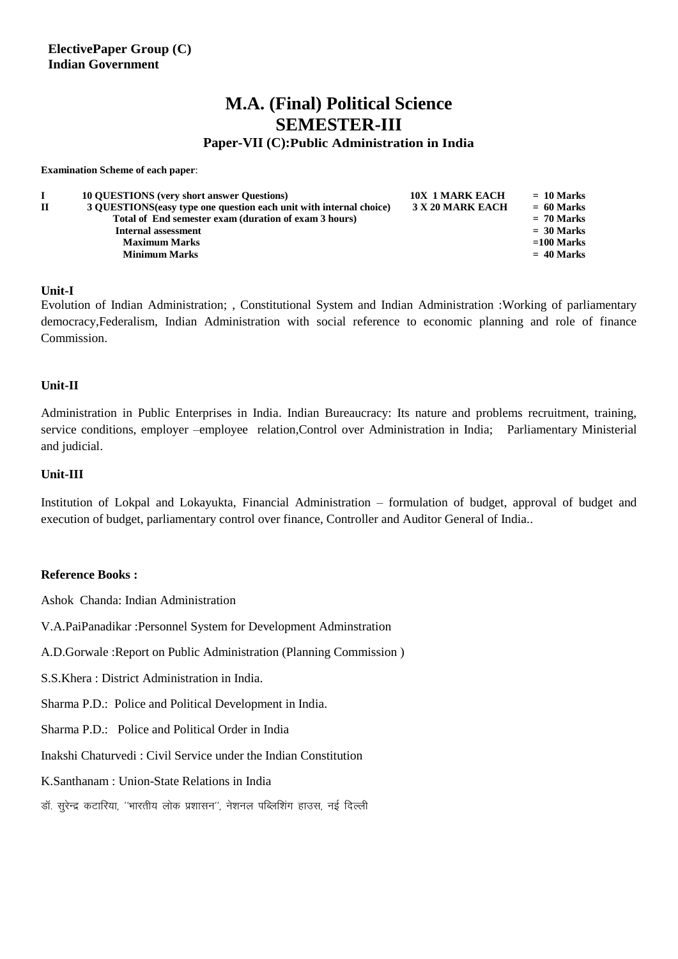## **Paper-VII (C):Public Administration in India**

**Examination Scheme of each paper**:

| <b>10 OUESTIONS</b> (very short answer Questions)                   | <b>10X 1 MARK EACH</b> | $= 10$ Marks |
|---------------------------------------------------------------------|------------------------|--------------|
| 3 QUESTIONS (easy type one question each unit with internal choice) | 3 X 20 MARK EACH       | $= 60$ Marks |
| Total of End semester exam (duration of exam 3 hours)               |                        | $= 70$ Marks |
| Internal assessment                                                 |                        | $=$ 30 Marks |
| <b>Maximum Marks</b>                                                |                        | $=100$ Marks |
| <b>Minimum Marks</b>                                                |                        | $= 40$ Marks |
|                                                                     |                        |              |

#### **Unit-I**

Evolution of Indian Administration; , Constitutional System and Indian Administration :Working of parliamentary democracy,Federalism, Indian Administration with social reference to economic planning and role of finance Commission.

#### **Unit-II**

Administration in Public Enterprises in India. Indian Bureaucracy: Its nature and problems recruitment, training, service conditions, employer –employee relation, Control over Administration in India; Parliamentary Ministerial and judicial.

#### **Unit-III**

Institution of Lokpal and Lokayukta, Financial Administration – formulation of budget, approval of budget and execution of budget, parliamentary control over finance, Controller and Auditor General of India..

#### **Reference Books :**

Ashok Chanda: Indian Administration

V.A.PaiPanadikar :Personnel System for Development Adminstration

A.D.Gorwale :Report on Public Administration (Planning Commission )

S.S.Khera : District Administration in India.

Sharma P.D.: Police and Political Development in India.

Sharma P.D.: Police and Political Order in India

Inakshi Chaturvedi : Civil Service under the Indian Constitution

K.Santhanam : Union-State Relations in India

डॉ. सरेन्द्र कटारिया, ''भारतीय लोक प्रशासन'', नेशनल पब्लिशिंग हाउस, नई दिल्ली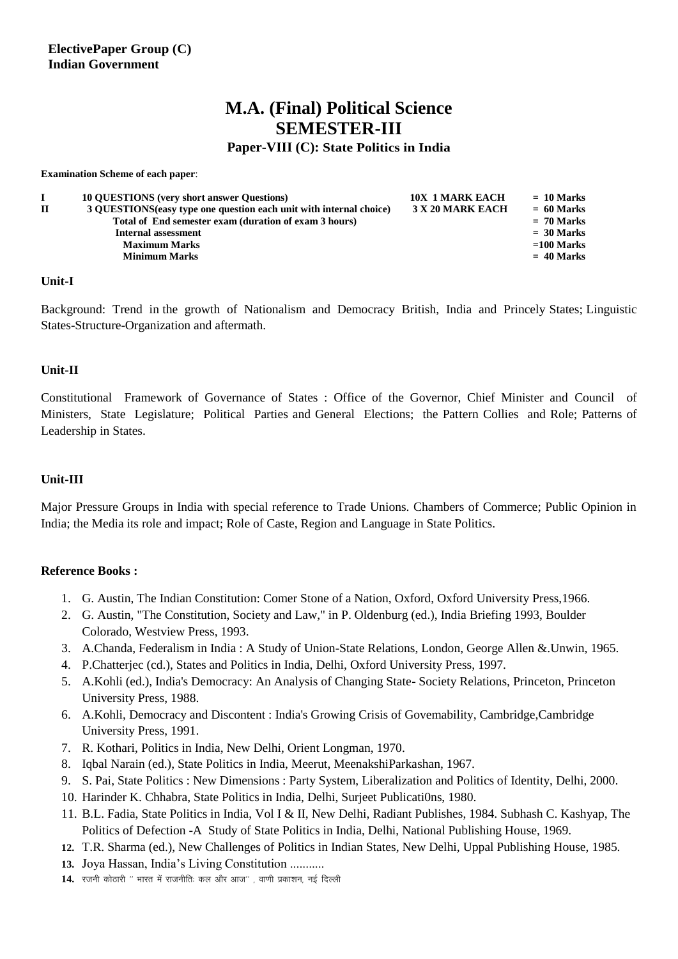**Paper-VIII (C): State Politics in India**

**Examination Scheme of each paper**:

|       | <b>10 OUESTIONS</b> (very short answer Questions)                   | <b>10X 1 MARK EACH</b> | $= 10$ Marks |
|-------|---------------------------------------------------------------------|------------------------|--------------|
| $\Pi$ | 3 OUESTIONS (easy type one question each unit with internal choice) | 3 X 20 MARK EACH       | $= 60$ Marks |
|       | Total of End semester exam (duration of exam 3 hours)               |                        | $= 70$ Marks |
|       | Internal assessment                                                 |                        | $=$ 30 Marks |
|       | <b>Maximum Marks</b>                                                |                        | $=100$ Marks |
|       | <b>Minimum Marks</b>                                                |                        | $= 40$ Marks |

#### **Unit-I**

Background: Trend in the growth of Nationalism and Democracy British, India and Princely States; Linguistic States-Structure-Organization and aftermath.

#### **Unit-II**

Constitutional Framework of Governance of States : Office of the Governor, Chief Minister and Council of Ministers, State Legislature; Political Parties and General Elections; the Pattern Collies and Role; Patterns of Leadership in States.

#### **Unit-III**

Major Pressure Groups in India with special reference to Trade Unions. Chambers of Commerce; Public Opinion in India; the Media its role and impact; Role of Caste, Region and Language in State Politics.

#### **Reference Books :**

- 1. G. Austin, The Indian Constitution: Comer Stone of a Nation, Oxford, Oxford University Press,1966.
- 2. G. Austin, "The Constitution, Society and Law," in P. Oldenburg (ed.), India Briefing 1993, Boulder Colorado, Westview Press, 1993.
- 3. A.Chanda, Federalism in India : A Study of Union-State Relations, London, George Allen &.Unwin, 1965.
- 4. P.Chatterjec (cd.), States and Politics in India, Delhi, Oxford University Press, 1997.
- 5. A.Kohli (ed.), India's Democracy: An Analysis of Changing State- Society Relations, Princeton, Princeton University Press, 1988.
- 6. A.Kohli, Democracy and Discontent : India's Growing Crisis of Govemability, Cambridge,Cambridge University Press, 1991.
- 7. R. Kothari, Politics in India, New Delhi, Orient Longman, 1970.
- 8. Iqbal Narain (ed.), State Politics in India, Meerut, MeenakshiParkashan, 1967.
- 9. S. Pai, State Politics : New Dimensions : Party System, Liberalization and Politics of Identity, Delhi, 2000.
- 10. Harinder K. Chhabra, State Politics in India, Delhi, Surjeet Publicati0ns, 1980.
- 11. B.L. Fadia, State Politics in India, Vol I & II, New Delhi, Radiant Publishes, 1984. Subhash C. Kashyap, The Politics of Defection -A Study of State Politics in India, Delhi, National Publishing House, 1969.
- **12.** T.R. Sharma (ed.), New Challenges of Politics in Indian States, New Delhi, Uppal Publishing House, 1985.
- **13.** Joya Hassan, India's Living Constitution ...........
- 14. रजनी कोठारी " भारत में राजनीतिः कल और आज" , वाणी प्रकाशन, नई दिल्ली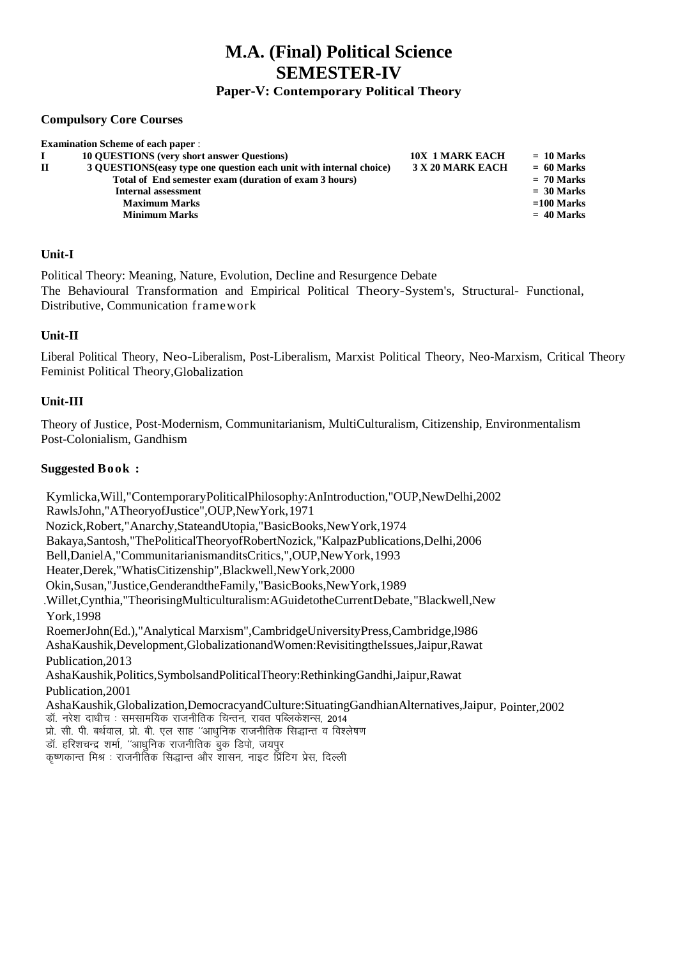## **Paper-V: Contemporary Political Theory**

#### **Compulsory Core Courses**

|       | <b>Examination Scheme of each paper:</b>                            |                        |              |
|-------|---------------------------------------------------------------------|------------------------|--------------|
|       | <b>10 QUESTIONS</b> (very short answer Questions)                   | <b>10X 1 MARK EACH</b> | $= 10$ Marks |
| $\Pi$ | 3 QUESTIONS (easy type one question each unit with internal choice) | 3 X 20 MARK EACH       | $= 60$ Marks |
|       | Total of End semester exam (duration of exam 3 hours)               |                        | $= 70$ Marks |
|       | Internal assessment                                                 |                        | $= 30$ Marks |
|       | <b>Maximum Marks</b>                                                |                        | $=100$ Marks |
|       | <b>Minimum Marks</b>                                                |                        | $= 40$ Marks |

## **Unit-I**

Political Theory: Meaning, Nature, Evolution, Decline and Resurgence Debate The Behavioural Transformation and Empirical Political Theory-System's, Structural- Functional, Distributive, Communication framework

## **Unit-II**

Liberal Political Theory, Neo-Liberalism, Post-Liberalism, Marxist Political Theory, Neo-Marxism, Critical Theory Feminist Political Theory,Globalization

## **Unit-III**

Theory of Justice, Post-Modernism, Communitarianism, MultiCulturalism, Citizenship, Environmentalism Post-Colonialism, Gandhism

## **Suggested Book :**

Kymlicka,Will,"ContemporaryPoliticalPhilosophy:AnIntroduction,"OUP,NewDelhi,2002 RawlsJohn,"ATheoryofJustice",OUP,NewYork,1971 Nozick,Robert,"Anarchy,StateandUtopia,"BasicBooks,NewYork,1974 Bakaya,Santosh,"ThePoliticalTheoryofRobertNozick,"KalpazPublications,Delhi,2006 Bell,DanielA,"CommunitarianismanditsCritics,",OUP,NewYork,1993 Heater,Derek,"WhatisCitizenship",Blackwell,NewYork,2000 Okin,Susan,"Justice,GenderandtheFamily,"BasicBooks,NewYork,1989 .Willet,Cynthia,"TheorisingMulticulturalism:AGuidetotheCurrentDebate,"Blackwell,New York,1998 RoemerJohn(Ed.),"Analytical Marxism",CambridgeUniversityPress,Cambridge,l986 AshaKaushik,Development,GlobalizationandWomen:RevisitingtheIssues,Jaipur,Rawat Publication,2013 AshaKaushik,Politics,SymbolsandPoliticalTheory:RethinkingGandhi,Jaipur,Rawat Publication,2001 AshaKaushik,Globalization,DemocracyandCulture:SituatingGandhianAlternatives,Jaipur, Pointer,2002 डॉ. नरेश दाधीच<sup>ं</sup> समसामयिक राजनीतिक चिन्तन. रावत पब्लिकेशन्स. 2014 प्रो. सी. पी. बर्थवाल, प्रो. बी. एल साह "आधुनिक राजनीतिक सिद्धान्त व विश्लेषण डॉ. हरिशचन्द्र शर्मा, ''आधुनिक राजनीतिक बुक डिपो, जयपुर

कष्णकान्त मिश्र : राजनीतिक सिद्धान्त और शासन, नाइट प्रिंटिग प्रेस, दिल्ली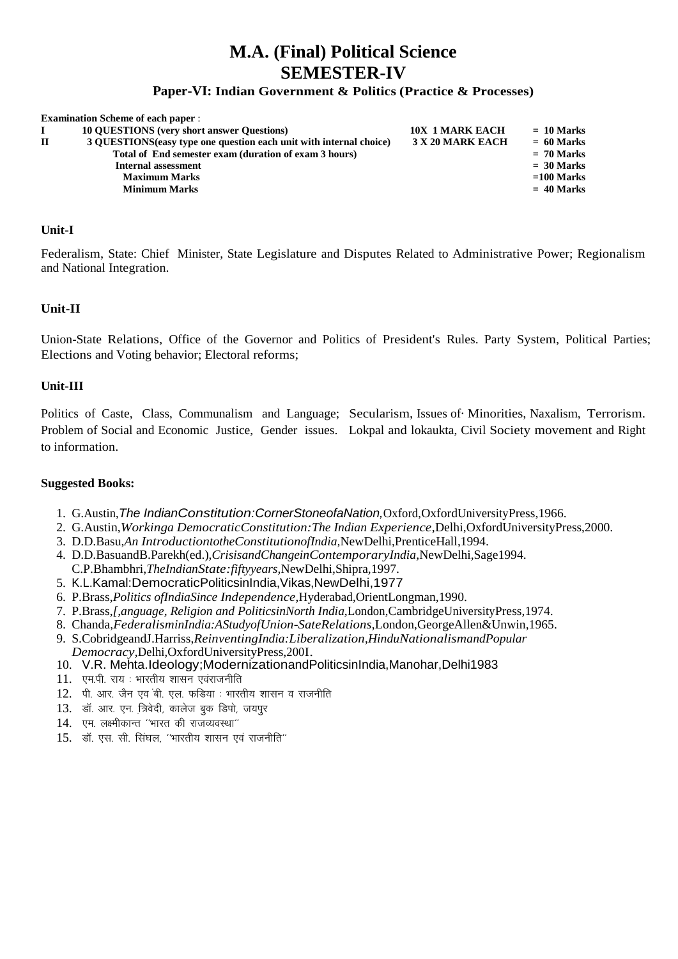## **Paper-VI: Indian Government & Politics (Practice & Processes)**

|   | <b>Examination Scheme of each paper:</b>                            |                        |              |
|---|---------------------------------------------------------------------|------------------------|--------------|
|   | <b>10 OUESTIONS</b> (very short answer Questions)                   | <b>10X 1 MARK EACH</b> | $= 10$ Marks |
| П | 3 QUESTIONS (easy type one question each unit with internal choice) | 3 X 20 MARK EACH       | $= 60$ Marks |
|   | Total of End semester exam (duration of exam 3 hours)               |                        | $= 70$ Marks |
|   | <b>Internal assessment</b>                                          |                        | $= 30$ Marks |
|   | <b>Maximum Marks</b>                                                |                        | $=100$ Marks |
|   | <b>Minimum Marks</b>                                                |                        | $= 40$ Marks |
|   |                                                                     |                        |              |

#### **Unit-I**

Federalism, State: Chief Minister, State Legislature and Disputes Related to Administrative Power; Regionalism and National Integration.

## **Unit-II**

Union-State Relations, Office of the Governor and Politics of President's Rules. Party System, Political Parties; Elections and Voting behavior; Electoral reforms;

#### **Unit-III**

Politics of Caste, Class, Communalism and Language; Secularism, Issues of· Minorities, Naxalism, Terrorism. Problem of Social and Economic Justice, Gender issues. Lokpal and lokaukta, Civil Society movement and Right to information.

- 1. G.Austin,*The IndianConstitution:CornerStoneofaNation,*Oxford,OxfordUniversityPress,1966.
- 2. G.Austin,*Workinga DemocraticConstitution:The Indian Experience,*Delhi,OxfordUniversityPress,2000.
- 3. D.D.Basu,*An IntroductiontotheConstitutionofIndia,*NewDelhi,PrenticeHall,1994.
- 4. D.D.BasuandB.Parekh(ed.),*CrisisandChangeinContemporaryIndia,*NewDelhi,Sage1994. C.P.Bhambhri,*TheIndianState:fiftyyears,*NewDelhi,Shipra,1997.
- 5. K.L.Kamal:DemocraticPoliticsinIndia,Vikas,NewDelhi,1977
- 6. P.Brass,*Politics ofIndiaSince Independence,*Hyderabad,OrientLongman,1990.
- 7. P.Brass,*[,anguage, Religion and PoliticsinNorth India,*London,CambridgeUniversityPress,1974.
- 8. Chanda,*FederalisminIndia:AStudyofUnion-SateRelations,*London,GeorgeAllen&Unwin,1965.
- 9. S.CobridgeandJ.Harriss,*ReinventingIndia:Liberalization,HinduNationalismandPopular Democracy,*Delhi,OxfordUniversityPress,200I.
- 10. V.R. Mehta.Ideology;ModernizationandPoliticsinIndia,Manohar,Delhi1983
- $11.$  एम.पी. राय: भारतीय शासन एवंराजनीति
- $12.$  पी. आर. जैन एवं बी. एल. फड़िया: भारतीय शासन व राजनीति
- 13. डॉ. आर. एन. त्रिवेदी, कालेज बक डिपो, जयपर
- $14.$  एम. लक्ष्मीकान्त "भारत की राजव्यवस्था"
- $15.$  डॉ. एस. सी. सिंघल, "भारतीय शासन एवं राजनीति"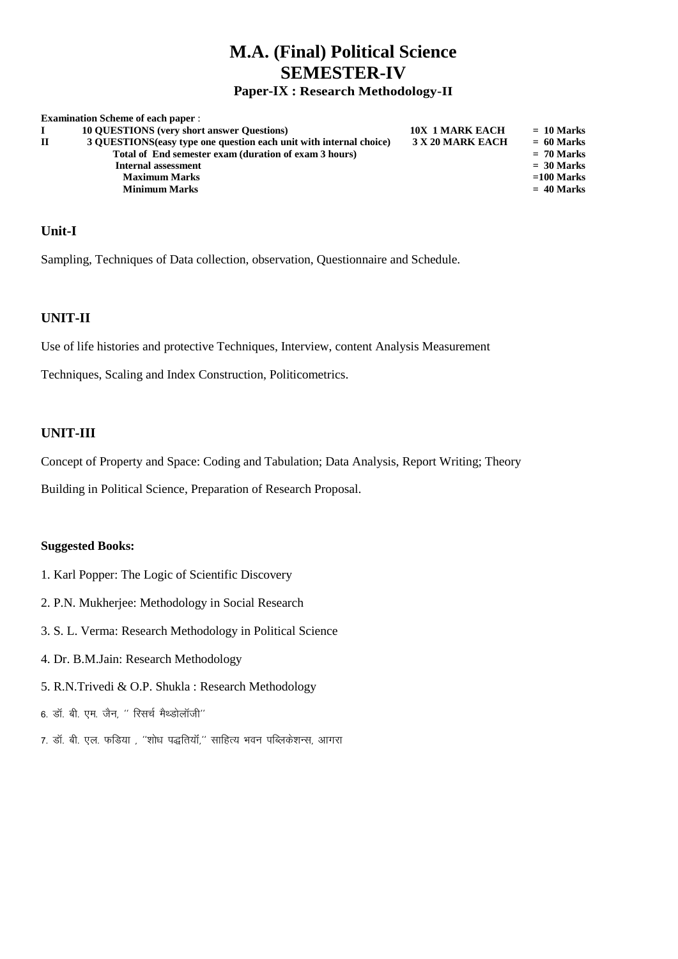## **Paper-IX : Research Methodology-II**

|   | <b>Examination Scheme of each paper:</b>                            |                        |              |
|---|---------------------------------------------------------------------|------------------------|--------------|
|   | <b>10 OUESTIONS</b> (very short answer Questions)                   | <b>10X 1 MARK EACH</b> | $= 10$ Marks |
| П | 3 OUESTIONS (easy type one question each unit with internal choice) | 3 X 20 MARK EACH       | $= 60$ Marks |
|   | Total of End semester exam (duration of exam 3 hours)               |                        | $= 70$ Marks |
|   | <b>Internal assessment</b>                                          |                        | $= 30$ Marks |
|   | <b>Maximum Marks</b>                                                |                        | $=100$ Marks |
|   | <b>Minimum Marks</b>                                                |                        | $= 40$ Marks |
|   |                                                                     |                        |              |

## **Unit-I**

Sampling, Techniques of Data collection, observation, Questionnaire and Schedule.

## **UNIT-II**

Use of life histories and protective Techniques, Interview, content Analysis Measurement

Techniques, Scaling and Index Construction, Politicometrics.

## **UNIT-III**

Concept of Property and Space: Coding and Tabulation; Data Analysis, Report Writing; Theory

Building in Political Science, Preparation of Research Proposal.

- 1. Karl Popper: The Logic of Scientific Discovery
- 2. P.N. Mukherjee: Methodology in Social Research
- 3. S. L. Verma: Research Methodology in Political Science
- 4. Dr. B.M.Jain: Research Methodology
- 5. R.N.Trivedi & O.P. Shukla : Research Methodology
- 6. डॉ. बी. एम. जैन, " रिसर्च मैथ्डोलॉजी"
- 7. डॉ. बी. एल. फडिया , "शोध पद्धतियॉं," साहित्य भवन पब्लिकेशन्स, आगरा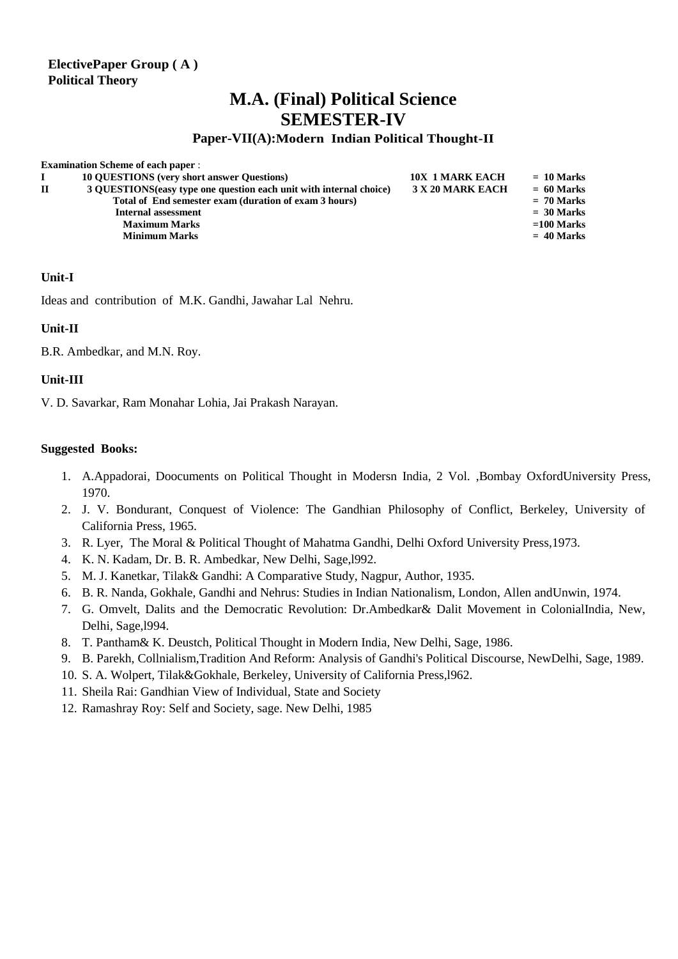## **ElectivePaper Group ( A ) Political Theory**

## **M.A. (Final) Political Science SEMESTER-IV**

## **Paper-VII(A):Modern Indian Political Thought-II**

| $= 10$ Marks |
|--------------|
| $= 60$ Marks |
| $= 70$ Marks |
| $= 30$ Marks |
| $=100$ Marks |
| $= 40$ Marks |
|              |

## **Unit-I**

Ideas and contribution of M.K. Gandhi, Jawahar Lal Nehru.

## **Unit-II**

B.R. Ambedkar, and M.N. Roy.

## **Unit-III**

V. D. Savarkar, Ram Monahar Lohia, Jai Prakash Narayan.

- 1. A.Appadorai, Doocuments on Political Thought in Modersn India, 2 Vol. ,Bombay OxfordUniversity Press, 1970.
- 2. J. V. Bondurant, Conquest of Violence: The Gandhian Philosophy of Conflict, Berkeley, University of California Press, 1965.
- 3. R. Lyer, The Moral & Political Thought of Mahatma Gandhi, Delhi Oxford University Press,1973.
- 4. K. N. Kadam, Dr. B. R. Ambedkar, New Delhi, Sage,l992.
- 5. M. J. Kanetkar, Tilak& Gandhi: A Comparative Study, Nagpur, Author, 1935.
- 6. B. R. Nanda, Gokhale, Gandhi and Nehrus: Studies in Indian Nationalism, London, Allen andUnwin, 1974.
- 7. G. Omvelt, Dalits and the Democratic Revolution: Dr.Ambedkar& Dalit Movement in ColonialIndia, New, Delhi, Sage, 1994.
- 8. T. Pantham& K. Deustch, Political Thought in Modern India, New Delhi, Sage, 1986.
- 9. B. Parekh, Collnialism,Tradition And Reform: Analysis of Gandhi's Political Discourse, NewDelhi, Sage, 1989.
- 10. S. A. Wolpert, Tilak&Gokhale, Berkeley, University of California Press,l962.
- 11. Sheila Rai: Gandhian View of Individual, State and Society
- 12. Ramashray Roy: Self and Society, sage. New Delhi, 1985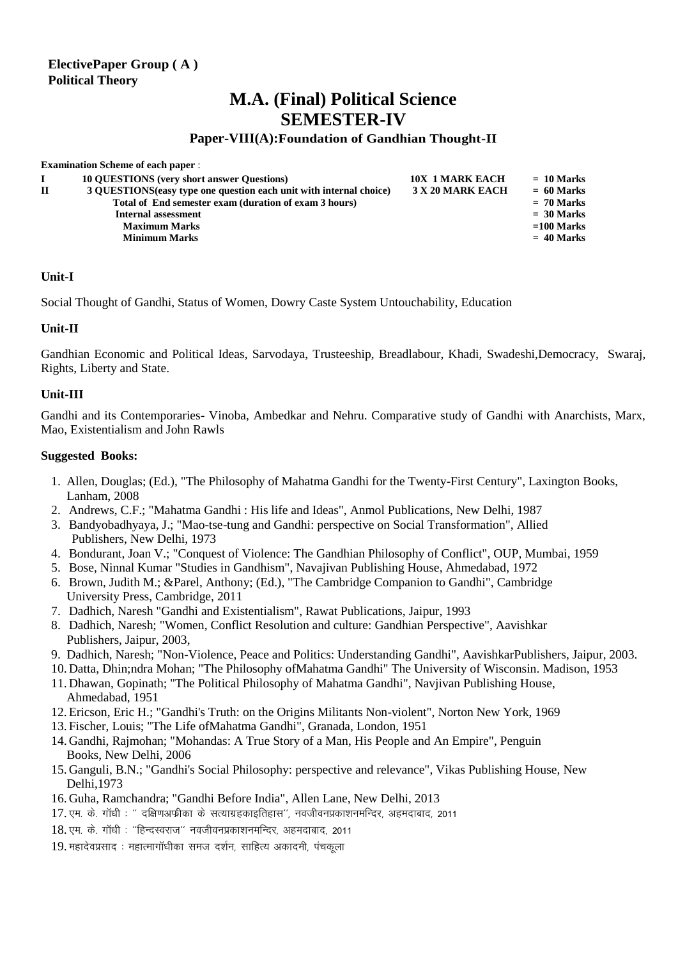**Examination Scheme of each paper** :

## **M.A. (Final) Political Science SEMESTER-IV**

## **Paper-VIII(A):Foundation of Gandhian Thought-II**

|   | <b>Examination benefite of cach puper</b> .                         |                        |              |
|---|---------------------------------------------------------------------|------------------------|--------------|
|   | <b>10 QUESTIONS</b> (very short answer Questions)                   | <b>10X 1 MARK EACH</b> | $= 10$ Marks |
| П | 3 OUESTIONS (easy type one question each unit with internal choice) | 3 X 20 MARK EACH       | $= 60$ Marks |
|   | Total of End semester exam (duration of exam 3 hours)               |                        | $= 70$ Marks |
|   | Internal assessment                                                 |                        | $= 30$ Marks |
|   | <b>Maximum Marks</b>                                                |                        | $=100$ Marks |
|   | <b>Minimum Marks</b>                                                |                        | $= 40$ Marks |
|   |                                                                     |                        |              |

## **Unit-I**

Social Thought of Gandhi, Status of Women, Dowry Caste System Untouchability, Education

## **Unit-II**

Gandhian Economic and Political Ideas, Sarvodaya, Trusteeship, Breadlabour, Khadi, Swadeshi,Democracy, Swaraj, Rights, Liberty and State.

## **Unit-III**

Gandhi and its Contemporaries- Vinoba, Ambedkar and Nehru. Comparative study of Gandhi with Anarchists, Marx, Mao, Existentialism and John Rawls

- 1. Allen, Douglas; (Ed.), "The Philosophy of Mahatma Gandhi for the Twenty-First Century", Laxington Books, Lanham, 2008
- 2. Andrews, C.F.; "Mahatma Gandhi : His life and Ideas", Anmol Publications, New Delhi, 1987
- 3. Bandyobadhyaya, J.; "Mao-tse-tung and Gandhi: perspective on Social Transformation", Allied Publishers, New Delhi, 1973
- 4. Bondurant, Joan V.; "Conquest of Violence: The Gandhian Philosophy of Conflict", OUP, Mumbai, 1959
- 5. Bose, Ninnal Kumar "Studies in Gandhism", Navajivan Publishing House, Ahmedabad, 1972
- 6. Brown, Judith M.; &Parel, Anthony; (Ed.), "The Cambridge Companion to Gandhi", Cambridge University Press, Cambridge, 2011
- 7. Dadhich, Naresh "Gandhi and Existentialism", Rawat Publications, Jaipur, 1993
- 8. Dadhich, Naresh; "Women, Conflict Resolution and culture: Gandhian Perspective", Aavishkar Publishers, Jaipur, 2003,
- 9. Dadhich, Naresh; "Non-Violence, Peace and Politics: Understanding Gandhi", AavishkarPublishers, Jaipur, 2003.
- 10. Datta, Dhin;ndra Mohan; "The Philosophy ofMahatma Gandhi" The University of Wisconsin. Madison, 1953
- 11. Dhawan, Gopinath; "The Political Philosophy of Mahatma Gandhi", Navjivan Publishing House, Ahmedabad, 1951
- 12. Ericson, Eric H.; "Gandhi's Truth: on the Origins Militants Non-violent", Norton New York, 1969
- 13. Fischer, Louis; "The Life ofMahatma Gandhi", Granada, London, 1951
- 14. Gandhi, Rajmohan; "Mohandas: A True Story of a Man, His People and An Empire", Penguin Books, New Delhi, 2006
- 15. Ganguli, B.N.; "Gandhi's Social Philosophy: perspective and relevance", Vikas Publishing House, New Delhi,1973
- 16. Guha, Ramchandra; "Gandhi Before India", Allen Lane, New Delhi, 2013
- $17.$  एम. के. गॉधी : " दक्षिणअफ्रीका के सत्याग्रहकाइतिहास", नवजीवनप्रकाशनमन्दिर, अहमदाबाद, 2011
- $18.$  एम्. के. गाँधी : "हिन्दस्वराज" नवजीवनप्रकाशनमन्दिर, अहमदाबाद, 2011
- 19. महादेवप्रसाद : महात्मागॉधीका समज दर्शन, साहित्य अकादमी, पंचकुला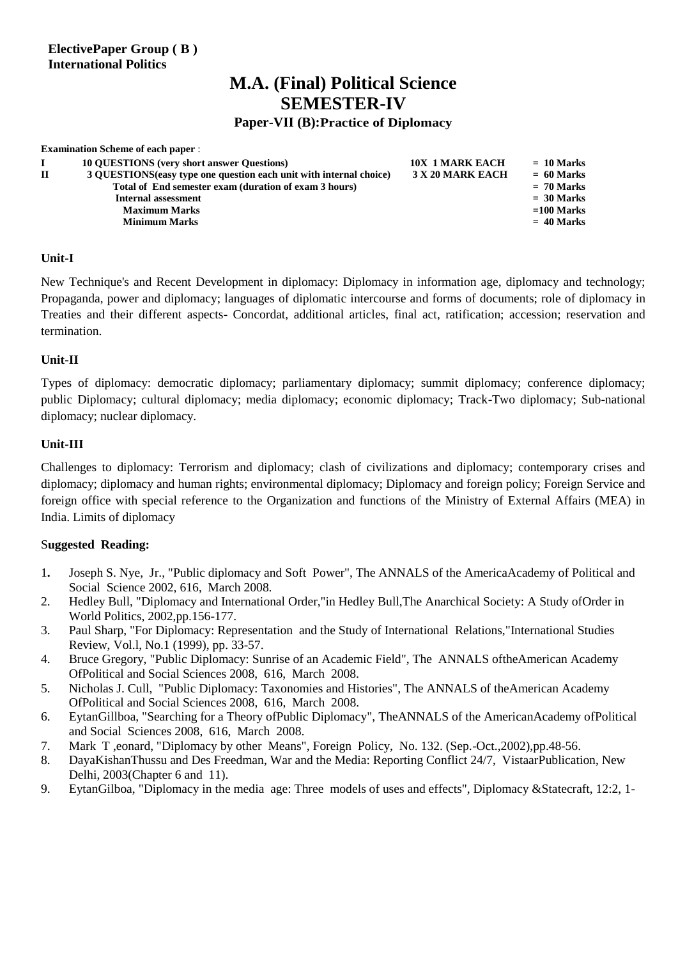## **Paper-VII (B):Practice of Diplomacy**

|       | <b>Examination Scheme of each paper:</b>                            |                        |              |
|-------|---------------------------------------------------------------------|------------------------|--------------|
|       | <b>10 OUESTIONS</b> (very short answer Ouestions)                   | <b>10X 1 MARK EACH</b> | $= 10$ Marks |
| $\Pi$ | 3 OUESTIONS (easy type one question each unit with internal choice) | 3 X 20 MARK EACH       | $= 60$ Marks |
|       | Total of End semester exam (duration of exam 3 hours)               |                        | $= 70$ Marks |
|       | <b>Internal assessment</b>                                          |                        | $=$ 30 Marks |
|       | <b>Maximum Marks</b>                                                |                        | $=100$ Marks |
|       | <b>Minimum Marks</b>                                                |                        | $= 40$ Marks |
|       |                                                                     |                        |              |

## **Unit-I**

New Technique's and Recent Development in diplomacy: Diplomacy in information age, diplomacy and technology; Propaganda, power and diplomacy; languages of diplomatic intercourse and forms of documents; role of diplomacy in Treaties and their different aspects- Concordat, additional articles, final act, ratification; accession; reservation and termination.

## **Unit-II**

Types of diplomacy: democratic diplomacy; parliamentary diplomacy; summit diplomacy; conference diplomacy; public Diplomacy; cultural diplomacy; media diplomacy; economic diplomacy; Track-Two diplomacy; Sub-national diplomacy; nuclear diplomacy.

## **Unit-III**

Challenges to diplomacy: Terrorism and diplomacy; clash of civilizations and diplomacy; contemporary crises and diplomacy; diplomacy and human rights; environmental diplomacy; Diplomacy and foreign policy; Foreign Service and foreign office with special reference to the Organization and functions of the Ministry of External Affairs (MEA) in India. Limits of diplomacy

## S**uggested Reading:**

- 1**.** Joseph S. Nye, Jr., "Public diplomacy and Soft Power", The ANNALS of the AmericaAcademy of Political and Social Science 2002, 616, March 2008.
- 2. Hedley Bull, "Diplomacy and International Order,"in Hedley Bull,The Anarchical Society: A Study ofOrder in World Politics, 2002,pp.156-177.
- 3. Paul Sharp, "For Diplomacy: Representation and the Study of International Relations,"International Studies Review, Vol.l, No.1 (1999), pp. 33-57.
- 4. Bruce Gregory, "Public Diplomacy: Sunrise of an Academic Field", The ANNALS oftheAmerican Academy OfPolitical and Social Sciences 2008, 616, March 2008.
- 5. Nicholas J. Cull, "Public Diplomacy: Taxonomies and Histories", The ANNALS of theAmerican Academy OfPolitical and Social Sciences 2008, 616, March 2008.
- 6. EytanGillboa, "Searching for a Theory ofPublic Diplomacy", TheANNALS of the AmericanAcademy ofPolitical and Social Sciences 2008, 616, March 2008.
- 7. Mark T ,eonard, "Diplomacy by other Means", Foreign Policy, No. 132. (Sep.-Oct.,2002),pp.48-56.
- 8. DayaKishanThussu and Des Freedman, War and the Media: Reporting Conflict 24/7, VistaarPublication, New Delhi, 2003(Chapter 6 and 11).
- 9. EytanGilboa, "Diplomacy in the media age: Three models of uses and effects", Diplomacy &Statecraft, 12:2, 1-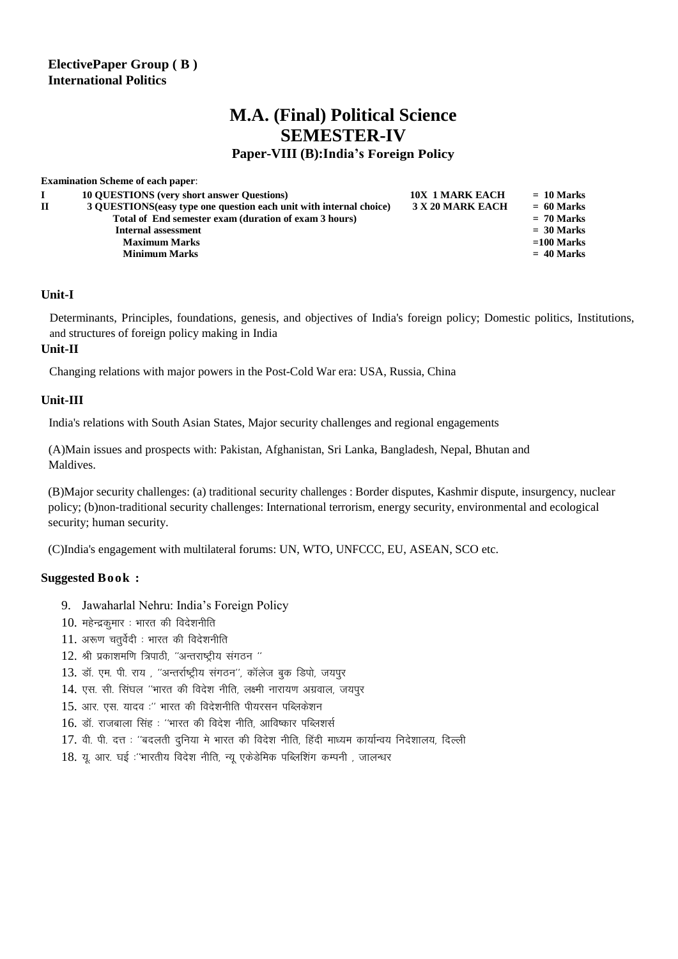## **ElectivePaper Group ( B ) International Politics**

## **M.A. (Final) Political Science SEMESTER-IV**

**Paper-VIII (B):India's Foreign Policy** 

| <b>Examination Scheme of each paper:</b>                            |                        |              |
|---------------------------------------------------------------------|------------------------|--------------|
| <b>10 OUESTIONS</b> (very short answer Questions)                   | <b>10X 1 MARK EACH</b> | $= 10$ Marks |
| 3 QUESTIONS (easy type one question each unit with internal choice) | 3 X 20 MARK EACH       | $= 60$ Marks |
| Total of End semester exam (duration of exam 3 hours)               |                        | $= 70$ Marks |
| <b>Internal assessment</b>                                          |                        | $= 30$ Marks |
| <b>Maximum Marks</b>                                                |                        | $=100$ Marks |
| <b>Minimum Marks</b>                                                |                        | $= 40$ Marks |
|                                                                     |                        |              |

## **Unit-I**

Determinants, Principles, foundations, genesis, and objectives of India's foreign policy; Domestic politics, Institutions, and structures of foreign policy making in India

## **Unit-II**

Changing relations with major powers in the Post-Cold War era: USA, Russia, China

## **Unit-III**

India's relations with South Asian States, Major security challenges and regional engagements

(A)Main issues and prospects with: Pakistan, Afghanistan, Sri Lanka, Bangladesh, Nepal, Bhutan and Maldives.

(B)Major security challenges: (a) traditional security challenges : Border disputes, Kashmir dispute, insurgency, nuclear policy; (b)non-traditional security challenges: International terrorism, energy security, environmental and ecological security; human security.

(C)India's engagement with multilateral forums: UN, WTO, UNFCCC, EU, ASEAN, SCO etc.

- 9. Jawaharlal Nehru: India's Foreign Policy
- $10.$  महेन्द्रकुमार : भारत की विदेशनीति
- $11.$  अरूण चतुर्वेदी: भारत की विदेशनीति
- $12.$  श्री प्रकाशमणि त्रिपाठी. "अन्तराष्टीय संगठन "
- 13. डॉ. एम. पी. राय, "अन्तर्राष्ट्रीय संगठन", कॉलेज बुक डिपो, जयपुर
- 14. एस. सी. सिंघल "भारत की विदेश नीति, लक्ष्मी नारायण अग्रवाल, जयपुर
- $15.$  आर. एस. यादव :" भारत की विदेशनीति पीयरसन पब्लिकेशन
- $16.$  डॉ. राजबाला सिंह : "भारत की विदेश नीति, आविष्कार पब्लिशर्स
- 17. वी. पी. दत्त : "बदलती दुनिया मे भारत की विदेश नीति, हिंदी माध्यम कार्यान्वय निदेशालय, दिल्ली
- $18.$  यु. आर. घई :''भारतीय विदेश नीति, न्यु एकेडेमिक पब्लिशिंग कम्पनी , जालन्धर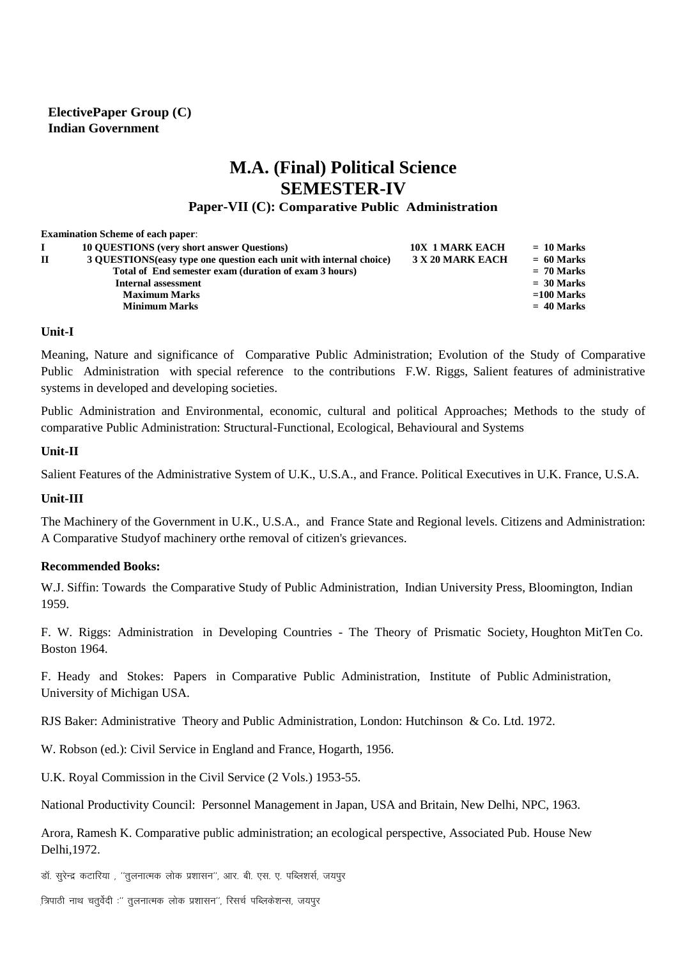## **ElectivePaper Group (C) Indian Government**

# **M.A. (Final) Political Science SEMESTER-IV**

## **Paper-VII (C): Comparative Public Administration**

**Examination Scheme of each paper**: **I 10 QUESTIONS (very short answer Questions) 10X 1 MARK EACH = 10 Marks II 3 QUESTIONS(easy type one question each unit with internal choice) 3 X 20 MARK EACH = 60 Marks Total of End semester exam (duration of exam 3 hours) = 70 Marks Internal assessment**  $=$  30 Marks **Maximum Marks =100 Marks Minimum Marks = 40 Marks**

## **Unit-I**

Meaning, Nature and significance of Comparative Public Administration; Evolution of the Study of Comparative Public Administration with special reference to the contributions F.W. Riggs, Salient features of administrative systems in developed and developing societies.

Public Administration and Environmental, economic, cultural and political Approaches; Methods to the study of comparative Public Administration: Structural-Functional, Ecological, Behavioural and Systems

#### **Unit-II**

Salient Features of the Administrative System of U.K., U.S.A., and France. Political Executives in U.K. France, U.S.A.

#### **Unit-III**

The Machinery of the Government in U.K., U.S.A., and France State and Regional levels. Citizens and Administration: A Comparative Studyof machinery orthe removal of citizen's grievances.

## **Recommended Books:**

W.J. Siffin: Towards the Comparative Study of Public Administration, Indian University Press, Bloomington, Indian 1959.

F. W. Riggs: Administration in Developing Countries - The Theory of Prismatic Society, Houghton MitTen Co. Boston 1964.

F. Heady and Stokes: Papers in Comparative Public Administration, Institute of Public Administration, University of Michigan USA.

RJS Baker: Administrative Theory and Public Administration, London: Hutchinson & Co. Ltd. 1972.

W. Robson (ed.): Civil Service in England and France, Hogarth, 1956.

U.K. Royal Commission in the Civil Service (2 Vols.) 1953-55.

National Productivity Council: Personnel Management in Japan, USA and Britain, New Delhi, NPC, 1963.

Arora, Ramesh K. Comparative public administration; an ecological perspective, Associated Pub. House New Delhi,1972.

डॉ. सुरेन्द्र कटारिया , "तुलनात्मक लोक प्रशासन", आर. बी. एस. ए. पब्लिशर्स, जयपुर